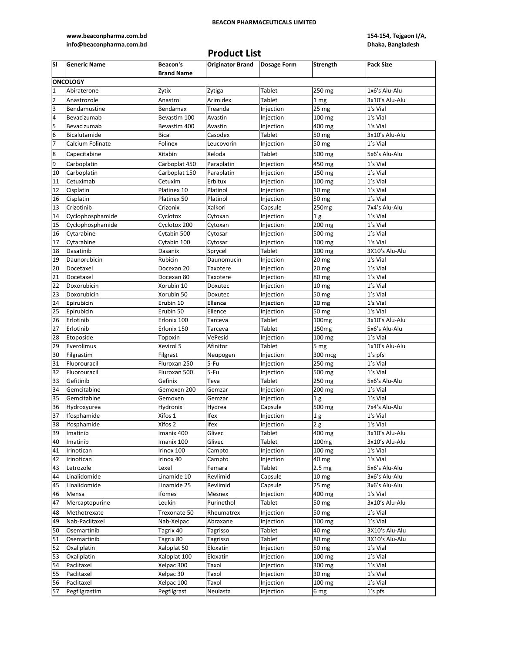**www.beaconpharma.com.bd info@beaconpharma.com.bd**

## **154-154, Tejgaon I/A, Dhaka, Bangladesh**

# **Product List**

| <b>SI</b>               | <b>Generic Name</b>     | <b>Beacon's</b>          | Originator Brand   Dosage Form |                        | Strength                   | <b>Pack Size</b> |  |  |
|-------------------------|-------------------------|--------------------------|--------------------------------|------------------------|----------------------------|------------------|--|--|
|                         |                         | <b>Brand Name</b>        |                                |                        |                            |                  |  |  |
|                         | <b>ONCOLOGY</b>         |                          |                                |                        |                            |                  |  |  |
| $\mathbf{1}$            | Abiraterone             | Zytix                    | Zytiga                         | Tablet                 | 250 mg                     | 1x6's Alu-Alu    |  |  |
| $\overline{2}$          | Anastrozole             | Anastrol                 | Arimidex                       | <b>Tablet</b>          | 1 mg                       | 3x10's Alu-Alu   |  |  |
| $\overline{\mathbf{3}}$ | Bendamustine            | Bendamax                 | Treanda                        | Injection              | 25 mg                      | 1's Vial         |  |  |
| 4                       | Bevacizumab             | Bevastim 100             | Avastin                        | Injection              | $100 \, \text{mg}$         | 1's Vial         |  |  |
| $\overline{\mathbf{5}}$ | Bevacizumab             | Bevastim 400             | Avastin                        | Injection              | 400 mg                     | 1's Vial         |  |  |
| $6\phantom{.}6$         | Bicalutamide            | <b>Bical</b>             | Casodex                        | Tablet                 | 50 mg                      | 3x10's Alu-Alu   |  |  |
| 7                       | Calcium Folinate        | Folinex                  | Leucovorin                     | Injection              | 50 mg                      | 1's Vial         |  |  |
| 8                       | Capecitabine            | Xitabin                  | Xeloda                         | <b>Tablet</b>          | 500 mg                     | 5x6's Alu-Alu    |  |  |
| 9                       | Carboplatin             | Carboplat 450            | Paraplatin                     | Injection              | 450 mg                     | 1's Vial         |  |  |
| 10                      | Carboplatin             | Carboplat 150            | Paraplatin                     | Injection              | 150 mg                     | 1's Vial         |  |  |
| 11                      | Cetuximab               | Cetuxim                  | Erbitux                        | Injection              | 100 mg                     | 1's Vial         |  |  |
| 12                      | Cisplatin               | Platinex 10              | Platinol                       | Injection              | 10 <sub>mg</sub>           | 1's Vial         |  |  |
| 16                      | Cisplatin               | Platinex 50              | Platinol                       | Injection              | 50 mg                      | 1's Vial         |  |  |
| 13                      | Crizotinib              | Crizonix                 | Xalkori                        | Capsule                | 250mg                      | 7x4's Alu-Alu    |  |  |
| 14                      | Cyclophosphamide        | Cyclotox                 | Cytoxan                        | Injection              | 1 <sub>g</sub>             | 1's Vial         |  |  |
| 15                      | Cyclophosphamide        | Cyclotox 200             | Cytoxan                        | Injection              | 200 mg                     | 1's Vial         |  |  |
| 16                      | Cytarabine              | Cytabin 500              | Cytosar                        | Injection              | 500 mg                     | 1's Vial         |  |  |
| 17                      | Cytarabine              | Cytabin 100              | Cytosar                        | Injection              | $\overline{100}$ mg        | 1's Vial         |  |  |
| 18                      | Dasatinib               | Dasanix                  | Sprycel                        | Tablet                 | 100 mg                     | 3X10's Alu-Alu   |  |  |
| 19                      | Daunorubicin            | Rubicin                  | Daunomucin                     | Injection              | 20 mg                      | 1's Vial         |  |  |
| 20                      | Docetaxel               | Docexan 20               | Taxotere                       |                        | 20 <sub>mg</sub>           | 1's Vial         |  |  |
| 21                      | Docetaxel               | Docexan 80               | Taxotere                       | Injection              | 80 mg                      | 1's Vial         |  |  |
| 22                      | Doxorubicin             | Xorubin 10               | Doxutec                        | Injection<br>Injection | 10 <sub>mg</sub>           | 1's Vial         |  |  |
| 23                      | Doxorubicin             | Xorubin 50               | Doxutec                        | Injection              | 50 mg                      | 1's Vial         |  |  |
| 24                      | Epirubicin              | Erubin 10                | Ellence                        |                        |                            | 1's Vial         |  |  |
| 25                      |                         |                          |                                | Injection              | 10 mg                      | 1's Vial         |  |  |
| 26                      | Epirubicin<br>Erlotinib | Erubin 50<br>Erlonix 100 | Ellence<br>Tarceva             | Injection<br>Tablet    | 50 mg                      | 3x10's Alu-Alu   |  |  |
| 27                      | Erlotinib               | Erlonix 150              | Tarceva                        | Tablet                 | 100 <sub>mg</sub><br>150mg | 5x6's Alu-Alu    |  |  |
| 28                      | Etoposide               | Topoxin                  | VePesid                        | Injection              | 100 mg                     | 1's Vial         |  |  |
| 29                      | Everolimus              | Xevirol 5                | Afinitor                       | Tablet                 | 5 mg                       | 1x10's Alu-Alu   |  |  |
| 30                      | Filgrastim              | Filgrast                 | Neupogen                       | Injection              | 300 mcg                    | 1's pfs          |  |  |
| 31                      | Fluorouracil            | Fluroxan 250             | 5-Fu                           | Injection              | $250$ mg                   | 1's Vial         |  |  |
| 32                      | Fluorouracil            | Fluroxan 500             | 5-Fu                           | Injection              | 500 mg                     | 1's Vial         |  |  |
| 33                      | Gefitinib               | Gefinix                  | Teva                           | Tablet                 | 250 mg                     | 5x6's Alu-Alu    |  |  |
| 34                      | Gemcitabine             | Gemoxen 200              | Gemzar                         | Injection              | 200 mg                     | 1's Vial         |  |  |
| 35                      | Gemcitabine             | Gemoxen                  | Gemzar                         | Injection              | 1 <sub>g</sub>             | 1's Vial         |  |  |
| 36                      | Hydroxyurea             | Hydronix                 | Hydrea                         | Capsule                | 500 mg                     | 7x4's Alu-Alu    |  |  |
| 37                      | Ifosphamide             | Xifos 1                  | <b>Ifex</b>                    | Injection              | 1 <sub>g</sub>             | $1's$ Vial       |  |  |
| 38                      | Ifosphamide             | Xifos 2                  | Ifex                           | Injection              | 2g                         | 1's Vial         |  |  |
| 39                      | Imatinib                | Imanix 400               | Glivec                         | Tablet                 | 400 mg                     | 3x10's Alu-Alu   |  |  |
| 40                      | Imatinib                | Imanix 100               | Glivec                         | Tablet                 | 100 <sub>mg</sub>          | 3x10's Alu-Alu   |  |  |
| 41                      | Irinotican              | Irinox 100               | Campto                         | Injection              | 100 mg                     | 1's Vial         |  |  |
| 42                      | Irinotican              | Irinox 40                | Campto                         | Injection              | 40 mg                      | 1's Vial         |  |  |
| 43                      | Letrozole               | Lexel                    | Femara                         | Tablet                 | 2.5 <sub>mg</sub>          | 5x6's Alu-Alu    |  |  |
| 44                      | Linalidomide            | Linamide 10              | Revlimid                       | Capsule                | 10 mg                      | 3x6's Alu-Alu    |  |  |
| 45                      | Linalidomide            | Linamide 25              | Revlimid                       | Capsule                | 25 mg                      | 3x6's Alu-Alu    |  |  |
| 46                      | Mensa                   | Ifomes                   | Mesnex                         | Injection              | 400 mg                     | 1's Vial         |  |  |
| 47                      | Mercaptopurine          | Leukin                   | Purinethol                     | Tablet                 | 50 mg                      | 3x10's Alu-Alu   |  |  |
| 48                      | Methotrexate            | Trexonate 50             | Rheumatrex                     | Injection              | 50 mg                      | 1's Vial         |  |  |
| 49                      | Nab-Paclitaxel          | Nab-Xelpac               | Abraxane                       | Injection              | 100 mg                     | 1's Vial         |  |  |
| 50                      | Osemartinib             | Tagrix 40                | Tagrisso                       | Tablet                 | 40 mg                      | 3X10's Alu-Alu   |  |  |
| 51                      | Osemartinib             | Tagrix 80                | Tagrisso                       | Tablet                 | 80 mg                      | 3X10's Alu-Alu   |  |  |
| 52                      | Oxaliplatin             | Xaloplat 50              | Eloxatin                       | Injection              | 50 mg                      | 1's Vial         |  |  |
| 53                      | Oxaliplatin             | Xaloplat 100             | Eloxatin                       | Injection              | 100 mg                     | 1's Vial         |  |  |
| 54                      | Paclitaxel              | Xelpac 300               | Taxol                          | Injection              | 300 mg                     | 1's Vial         |  |  |
| 55                      | Paclitaxel              | Xelpac 30                | Taxol                          | Injection              | 30 mg                      | 1's Vial         |  |  |
| 56                      | Paclitaxel              | Xelpac 100               | Taxol                          | Injection              | 100 mg                     | 1's Vial         |  |  |
| 57                      | Pegfilgrastim           | Pegfilgrast              | Neulasta                       | Injection              | 6 mg                       | $1's$ pfs        |  |  |
|                         |                         |                          |                                |                        |                            |                  |  |  |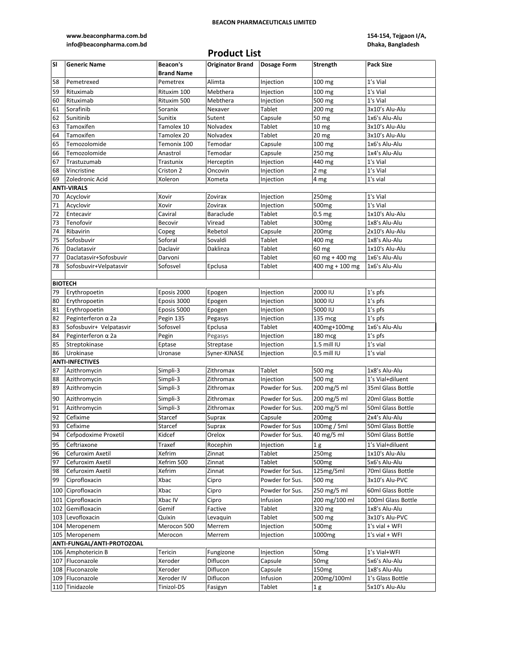### **www.beaconpharma.com.bd info@beaconpharma.com.bd**

## **154-154, Tejgaon I/A, Dhaka, Bangladesh**

|           |                            |                               | <b>Product List</b>            |                 |                    |                    |
|-----------|----------------------------|-------------------------------|--------------------------------|-----------------|--------------------|--------------------|
| <b>SI</b> | <b>Generic Name</b>        | Beacon's<br><b>Brand Name</b> | Originator Brand   Dosage Form |                 | Strength           | Pack Size          |
| 58        | Pemetrexed                 | Pemetrex                      | Alimta                         | Injection       | 100 mg             | 1's Vial           |
| 59        | Rituximab                  | Rituxim 100                   | Mebthera                       | Injection       | 100 mg             | 1's Vial           |
| 60        | Rituximab                  | Rituxim 500                   | Mebthera                       | Injection       | 500 mg             | 1's Vial           |
| 61        | Sorafinib                  | Soranix                       | Nexaver                        | Tablet          | 200 mg             | 3x10's Alu-Alu     |
| 62        | Sunitinib                  | Sunitix                       | Sutent                         | Capsule         | 50 mg              | 1x6's Alu-Alu      |
| 63        | Tamoxifen                  | Tamolex 10                    | Nolvadex                       | Tablet          | 10 <sub>mg</sub>   | 3x10's Alu-Alu     |
| 64        | Tamoxifen                  | Tamolex 20                    | Nolvadex                       | Tablet          | 20 mg              | 3x10's Alu-Alu     |
| 65        | Temozolomide               | Temonix 100                   | Temodar                        | Capsule         | 100 mg             | 1x6's Alu-Alu      |
| 66        | Temozolomide               | Anastrol                      | Temodar                        | Capsule         | 250 mg             | 1x4's Alu-Alu      |
| 67        | Trastuzumab                | Trastunix                     | Herceptin                      | Injection       | 440 mg             | 1's Vial           |
| 68        | Vincristine                | Criston 2                     | Oncovin                        |                 |                    | 1's Vial           |
|           |                            |                               |                                | Injection       | 2 mg               |                    |
| 69        | Zoledronic Acid            | Xoleron                       | Xometa                         | Injection       | 4 mg               | 1's vial           |
|           | <b>ANTI-VIRALS</b>         |                               |                                |                 |                    |                    |
| 70        | Acyclovir                  | Xovir                         | Zovirax                        | Injection       | 250 <sub>mg</sub>  | 1's Vial           |
| 71        | Acyclovir                  | Xovir                         | Zovirax                        | Injection       | 500mg              | 1's Vial           |
| 72        | Entecavir                  | Caviral                       | Baraclude                      | Tablet          | 0.5 <sub>mg</sub>  | 1x10's Alu-Alu     |
| 73        | Tenofovir                  | Becovir                       | Viread                         | Tablet          | 300 <sub>mg</sub>  | 1x8's Alu-Alu      |
| 74        | Ribavirin                  | Copeg                         | Rebetol                        | Capsule         | 200 <sub>mg</sub>  | 2x10's Alu-Alu     |
| 75        | Sofosbuvir                 | Soforal                       | Sovaldi                        | Tablet          | 400 mg             | 1x8's Alu-Alu      |
| 76        | Daclatasvir                | Daclavir                      | Daklinza                       | Tablet          | $60 \text{ mg}$    | 1x10's Alu-Alu     |
| 77        | Daclatasvir+Sofosbuvir     | Darvoni                       |                                | Tablet          | 60 mg + 400 mg     | 1x6's Alu-Alu      |
| 78        | Sofosbuvir+Velpatasvir     | Sofosvel                      | Epclusa                        | Tablet          | $400$ mg + 100 mg  | 1x6's Alu-Alu      |
|           |                            |                               |                                |                 |                    |                    |
|           | <b>BIOTECH</b>             |                               |                                |                 |                    |                    |
| 79        | Erythropoetin              | Eposis 2000                   | Epogen                         | Injection       | 2000 IU            | 1's pfs            |
| 80        | Erythropoetin              | Eposis 3000                   | Epogen                         | Injection       | 3000 IU            | $1's$ pfs          |
| 81        | Erythropoetin              | Eposis 5000                   | Epogen                         | Injection       | 5000 IU            | $1's$ pfs          |
| 82        | Peginterferon $\alpha$ 2a  | Pegin 135                     | Pegasys                        | Injection       | 135 mcg            | $1's$ pfs          |
| 83        | Sofosbuvir+ Velpatasvir    | Sofosvel                      | Epclusa                        | Tablet          | 400mg+100mg        | 1x6's Alu-Alu      |
| 84        | Peginterferon $\alpha$ 2a  | Pegin                         | Pegasys                        | Injection       | 180 mcg            | 1's pfs            |
| 85        | Streptokinase              | Eptase                        | Streptase                      | Injection       | 1.5 mill IU        | 1's vial           |
| 86        | Urokinase                  | Uronase                       | Syner-KINASE                   | Injection       | $0.5$ mill IU      | 1's vial           |
|           | <b>ANTI-INFECTIVES</b>     |                               |                                |                 |                    |                    |
| 87        | Azithromycin               | Simpli-3                      | Zithromax                      | Tablet          | 500 mg             | 1x8's Alu-Alu      |
| 88        | Azithromycin               | Simpli-3                      | Zithromax                      | Injection       | 500 mg             | 1's Vial+diluent   |
| 89        | Azithromycin               | Simpli-3                      | Zithromax                      | Powder for Sus. | 200 mg/5 ml        | 35ml Glass Bottle  |
|           |                            |                               |                                |                 | 200 mg/5 ml        |                    |
| 90        | Azithromycin               | Simpli-3                      | Zithromax                      | Powder for Sus. |                    | 20ml Glass Bottle  |
| 91        | Azithromycin               | Simpli-3                      | Zithromax                      | Powder for Sus. | 200 mg/5 ml        | 50ml Glass Bottle  |
| 92        | Cefixime                   | Starcef                       | Suprax                         | Capsule         | 200 <sub>mg</sub>  | 2x4's Alu-Alu      |
| 93        | Cefixime                   | Starcef                       | Suprax                         | Powder for Sus  | 100mg / 5ml        | 50ml Glass Bottle  |
| 94        | Cefpodoxime Proxetil       | Kidcef                        | Orelox                         | Powder for Sus. | 40 mg/5 ml         | 50ml Glass Bottle  |
| 95        | Ceftriaxone                | Traxef                        | Rocephin                       | Injection       | 1g                 | 1's Vial+diluent   |
| 96        | Cefuroxim Axetil           | Xefrim                        | Zinnat                         | Tablet          | 250 <sub>mg</sub>  | 1x10's Alu-Alu     |
| 97        | Cefuroxim Axetil           | Xefrim 500                    | Zinnat                         | Tablet          | 500 <sub>mg</sub>  | 5x6's Alu-Alu      |
| 98        | Cefuroxim Axetil           | Xefrim                        | Zinnat                         | Powder for Sus. | 125mg/5ml          | 70ml Glass Bottle  |
| 99        | Ciprofloxacin              | Xbac                          | Cipro                          | Powder for Sus. | 500 mg             | 3x10's Alu-PVC     |
| 100       | Ciprofloxacin              | Xbac                          | Cipro                          | Powder for Sus. | 250 mg/5 ml        | 60ml Glass Bottle  |
|           |                            |                               |                                |                 |                    |                    |
| 101       | Ciprofloxacin              | Xbac IV                       | Cipro                          | Infusion        | 200 mg/100 ml      | 100ml Glass Bottle |
| 102       | Gemifloxacin               | Gemif                         | Factive                        | Tablet          | 320 mg             | 1x8's Alu-Alu      |
| 103       | Levofloxacin               | Quixin                        | Levaquin                       | Tablet          | 500 mg             | 3x10's Alu-PVC     |
|           | 104 Meropenem              | Merocon 500                   | Merrem                         | Injection       | 500 <sub>mg</sub>  | $1's$ vial + WFI   |
|           | 105 Meropenem              | Merocon                       | Merrem                         | Injection       | 1000 <sub>mg</sub> | $1's$ vial + WFI   |
|           | ANTI-FUNGAL/ANTI-PROTOZOAL |                               |                                |                 |                    |                    |
|           | 106 Amphotericin B         | Tericin                       | Fungizone                      | Injection       | 50 <sub>mg</sub>   | 1's Vial+WFI       |
|           | 107 Fluconazole            | Xeroder                       | Diflucon                       | Capsule         | 50 <sub>mg</sub>   | 5x6's Alu-Alu      |
|           | 108 Fluconazole            | Xeroder                       | Diflucon                       | Capsule         | 150 <sub>mg</sub>  | 1x8's Alu-Alu      |
|           | 109 Fluconazole            | Xeroder IV                    | Diflucon                       | Infusion        | 200mg/100ml        | 1's Glass Bottle   |
|           | 110 Tinidazole             | Tinizol-DS                    | Fasigyn                        | Tablet          | 1 <sub>g</sub>     | 5x10's Alu-Alu     |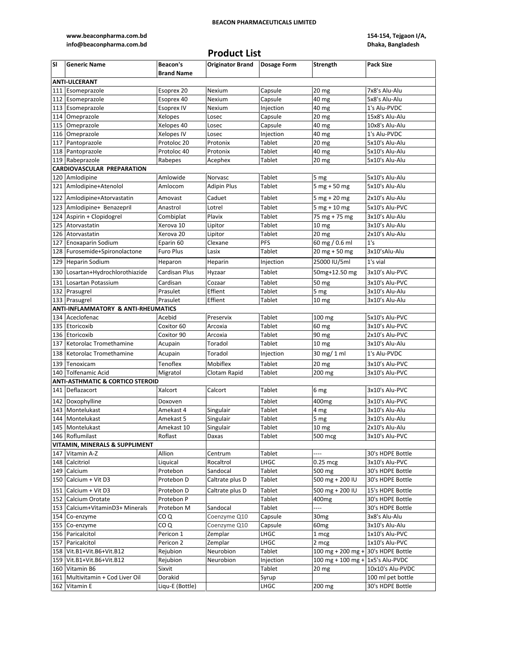### **www.beaconpharma.com.bd info@beaconpharma.com.bd**

## **154-154, Tejgaon I/A, Dhaka, Bangladesh**

# **Product List**

| <b>SI</b> | <b>Generic Name</b>                         | Beacon's          | <b>Originator Brand</b> | Dosage Form         | Strength                         | <b>Pack Size</b>  |
|-----------|---------------------------------------------|-------------------|-------------------------|---------------------|----------------------------------|-------------------|
|           |                                             | <b>Brand Name</b> |                         |                     |                                  |                   |
|           | <b>ANTI-ULCERANT</b>                        |                   |                         |                     |                                  |                   |
| 111       | Esomeprazole                                | Esoprex 20        | Nexium                  | Capsule             | 20 mg                            | 7x8's Alu-Alu     |
| 112       | Esomeprazole                                | Esoprex 40        | Nexium                  | Capsule             | 40 mg                            | 5x8's Alu-Alu     |
|           | 113 Esomeprazole                            | <b>Esoprex IV</b> | Nexium                  | Injection           | 40 mg                            | 1's Alu-PVDC      |
|           | 114 Omeprazole                              | Xelopes           | Losec                   | Capsule             | 20 <sub>mg</sub>                 | 15x8's Alu-Alu    |
| 115       | Omeprazole                                  | Xelopes 40        | Losec                   | Capsule             | 40 mg                            | 10x8's Alu-Alu    |
| 116       | Omeprazole                                  | Xelopes IV        | Losec                   | Injection           | 40 mg                            | 1's Alu-PVDC      |
| 117       | Pantoprazole                                | Protoloc 20       | Protonix                | Tablet              | 20 <sub>mg</sub>                 | 5x10's Alu-Alu    |
| 118       | Pantoprazole                                | Protoloc 40       | Protonix                | Tablet              | 40 mg                            | 5x10's Alu-Alu    |
|           | 119 Rabeprazole                             | Rabepes           | Acephex                 | Tablet              | 20 mg                            | 5x10's Alu-Alu    |
|           | CARDIOVASCULAR PREPARATION                  |                   |                         |                     |                                  |                   |
|           | 120 Amlodipine                              | Amlowide          | Norvasc                 | Tablet              | 5 mg                             | 5x10's Alu-Alu    |
|           | 121 Amlodipine+Atenolol                     | Amlocom           | <b>Adipin Plus</b>      | Tablet              | $5$ mg + $50$ mg                 | 5x10's Alu-Alu    |
|           | 122 Amlodipine+Atorvastatin                 | Amovast           | Caduet                  | Tablet              | 5 mg + 20 mg                     | 2x10's Alu-Alu    |
|           | 123 Amlodipine+ Benazepril                  | Anastrol          | Lotrel                  | Tablet              | $5$ mg + 10 mg                   | 5x10's Alu-PVC    |
|           | 124 Aspirin + Clopidogrel                   | Combiplat         | Plavix                  | Tablet              | 75 mg + 75 mg                    | 3x10's Alu-Alu    |
| 125       | Atorvastatin                                | Xerova 10         | Lipitor                 | Tablet              | 10 <sub>mg</sub>                 | 3x10's Alu-Alu    |
| 126       | Atorvastatin                                | Xerova 20         | Lipitor                 | Tablet              | 20 <sub>mg</sub>                 | 2x10's Alu-Alu    |
| 127       | <b>Enoxaparin Sodium</b>                    | Eparin 60         | Clexane                 | <b>PFS</b>          | 60 mg / 0.6 ml                   | 1's               |
|           | 128 Furosemide+Spironolactone               | <b>Furo Plus</b>  | Lasix                   | Tablet              | $20$ mg + 50 mg                  | 3x10'sAlu-Alu     |
| 129       | <b>Heparin Sodium</b>                       | Heparon           | Heparin                 | Injection           | 25000 IU/5ml                     | 1's vial          |
|           | Losartan+Hydrochlorothiazide                | Cardisan Plus     |                         | Tablet              |                                  | 3x10's Alu-PVC    |
| 130       |                                             |                   | Hyzaar                  |                     | 50mg+12.50 mg                    |                   |
| 131       | Losartan Potassium                          | Cardisan          | Cozaar                  | Tablet              | 50 mg                            | 3x10's Alu-PVC    |
|           | 132 Prasugrel                               | Prasulet          | Effient                 | Tablet              | 5 mg                             | 3x10's Alu-Alu    |
|           | 133 Prasugrel                               | Prasulet          | Effient                 | Tablet              | 10 <sub>mg</sub>                 | 3x10's Alu-Alu    |
|           | ANTI-INFLAMMATORY & ANTI-RHEUMATICS         |                   |                         |                     |                                  |                   |
| 134       | Aceclofenac                                 | Acebid            | Preservix               | Tablet              | $100 \text{ mg}$                 | 5x10's Alu-PVC    |
|           | 135 Etoricoxib                              | Coxitor 60        | Arcoxia                 | Tablet              | 60 mg                            | 3x10's Alu-PVC    |
|           | 136 Etoricoxib                              | Coxitor 90        | Arcoxia                 | Tablet              | 90 mg                            | 2x10's Alu-PVC    |
|           | 137 Ketorolac Tromethamine                  | Acupain           | Toradol                 | Tablet              | 10 <sub>mg</sub>                 | 3x10's Alu-Alu    |
|           | 138 Ketorolac Tromethamine                  | Acupain           | Toradol                 | Injection           | 30 mg/ 1 ml                      | 1's Alu-PVDC      |
|           | 139 Tenoxicam                               | Tenoflex          | Mobiflex                | Tablet              | 20 mg                            | 3x10's Alu-PVC    |
| 140       | Tolfenamic Acid                             | Migratol          | Clotam Rapid            | Tablet              | 200 mg                           | 3x10's Alu-PVC    |
|           | <b>ANTI-ASTHMATIC &amp; CORTICO STEROID</b> |                   |                         |                     |                                  |                   |
|           | 141 Deflazacort                             | Xalcort           | Calcort                 | Tablet              | 6 mg                             | 3x10's Alu-PVC    |
| 142       | Doxophylline                                | Doxoven           |                         | Tablet              | 400 <sub>mg</sub>                | 3x10's Alu-PVC    |
| 143       | Montelukast                                 | Amekast 4         | Singulair               | Tablet              | 4 mg                             | 3x10's Alu-Alu    |
|           | 144 Montelukast                             | Amekast 5         | Singulair               | Tablet              | 5 mg                             | 3x10's Alu-Alu    |
|           | 145 Montelukast                             | Amekast 10        | Singulair               | Tablet              | $10 \text{ mg}$                  | 2x10's Alu-Alu    |
|           | 146 Roflumilast                             | Roflast           | Daxas                   | Tablet              | 500 mcg                          | 3x10's Alu-PVC    |
|           | VITAMIN, MINERALS & SUPPLIMENT              |                   |                         |                     |                                  |                   |
|           | 147 Vitamin A-Z                             | Allion            | Centrum                 | Tablet              | ----                             | 30's HDPE Bottle  |
|           | 148 Calcitriol                              | Liquical          | Rocaltrol               | LHGC                | $0.25$ mcg                       | 3x10's Alu-PVC    |
|           | 149 Calcium                                 | Protebon          | Sandocal                | Tablet              | 500 mg                           | 30's HDPE Bottle  |
|           | 150 Calcium + Vit D3                        | Protebon D        | Caltrate plus D         | Tablet              | 500 mg + 200 IU                  | 30's HDPE Bottle  |
|           | 151 Calcium + Vit D3                        | Protebon D        | Caltrate plus D         | Tablet              | 500 mg + 200 IU                  | 15's HDPE Bottle  |
|           | 152 Calcium Orotate                         | Protebon P        |                         | Tablet              | 400mg                            | 30's HDPE Bottle  |
|           | 153 Calcium+VitaminD3+ Minerals             | Protebon M        | Sandocal                | Tablet              | ----                             | 30's HDPE Bottle  |
|           | 154 Co-enzyme                               | CO Q              | Coenzyme Q10            | Capsule             | 30 <sub>mg</sub>                 | 3x8's Alu-Alu     |
|           | 155 Co-enzyme                               | CO Q              | Coenzyme Q10            | Capsule             | 60 <sub>mg</sub>                 | 3x10's Alu-Alu    |
|           | 156 Paricalcitol                            | Pericon 1         | Zemplar                 | LHGC                | 1 mcg                            | 1x10's Alu-PVC    |
|           | 157 Paricalcitol                            | Pericon 2         | Zemplar                 | LHGC                |                                  | 1x10's Alu-PVC    |
|           | 158 Vit.B1+Vit.B6+Vit.B12                   | Rejubion          | Neurobion               | Tablet              | 2 mcg<br>100 mg + 200 mg +       | 30's HDPE Bottle  |
| 159       | Vit.B1+Vit.B6+Vit.B12                       | Rejubion          |                         |                     | 100 mg + 100 mg + 1x5's Alu-PVDC |                   |
|           | 160 Vitamin B6                              | Sixvit            | Neurobion               | Injection<br>Tablet |                                  | 10x10's Alu-PVDC  |
| 161       | Multivitamin + Cod Liver Oil                | Dorakid           |                         |                     | 20 <sub>mg</sub>                 | 100 ml pet bottle |
|           | 162 Vitamin E                               | Liqu-E (Bottle)   |                         | Syrup<br>LHGC       | 200 mg                           | 30's HDPE Bottle  |
|           |                                             |                   |                         |                     |                                  |                   |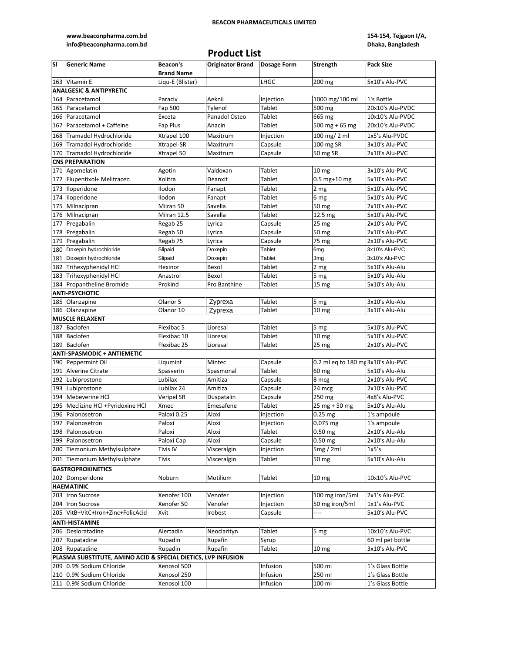**www.beaconpharma.com.bd info@beaconpharma.com.bd**

## **154-154, Tejgaon I/A, Dhaka, Bangladesh**

# **Product List**

| SI  | <b>Generic Name</b>                                           | Beacon's          | <b>Originator Brand</b> | <b>Dosage Form</b> | <b>Strength</b>                    | <b>Pack Size</b> |
|-----|---------------------------------------------------------------|-------------------|-------------------------|--------------------|------------------------------------|------------------|
|     |                                                               | <b>Brand Name</b> |                         |                    |                                    |                  |
|     | 163 Vitamin E                                                 | Liqu-E (Blister)  |                         | LHGC               | 200 mg                             | 5x10's Alu-PVC   |
|     | <b>ANALGESIC &amp; ANTIPYRETIC</b>                            |                   |                         |                    |                                    |                  |
|     | 164 Paracetamol                                               | Paraciv           | Aeknil                  | Injection          | 1000 mg/100 ml                     | 1's Bottle       |
| 165 | Paracetamol                                                   | Fap 500           | Tylenol                 | Tablet             | 500 mg                             | 20x10's Alu-PVDC |
|     | 166 Paracetamol                                               | Exceta            | Panadol Osteo           | Tablet             | 665 mg                             | 10x10's Alu-PVDC |
|     | 167 Paracetamol + Caffeine                                    | Fap Plus          | Anacin                  | Tablet             | 500 mg + 65 mg                     | 20x10's Alu-PVDC |
|     | 168 Tramadol Hydrochloride                                    | Xtrapel 100       | Maxitrum                | Injection          | 100 mg/ 2 ml                       | 1x5's Alu-PVDC   |
|     | 169 Tramadol Hydrochloride                                    | Xtrapel-SR        | Maxitrum                | Capsule            | 100 mg SR                          | 3x10's Alu-PVC   |
|     | 170 Tramadol Hydrochloride                                    | Xtrapel 50        | Maxitrum                | Capsule            | 50 mg SR                           | 2x10's Alu-PVC   |
|     | <b>CNS PREPARATION</b>                                        |                   |                         |                    |                                    |                  |
|     | 171 Agomelatin                                                | Agotin            | Valdoxan                | Tablet             | 10 <sub>mg</sub>                   | 3x10's Alu-PVC   |
|     | 172 Flupentixol+ Melitracen                                   | Xolitra           | Deanxit                 | Tablet             | $0.5$ mg+10 mg                     | 5x10's Alu-PVC   |
|     |                                                               |                   |                         |                    |                                    |                  |
|     | 173 Iloperidone                                               | Ilodon            | Fanapt                  | Tablet             | 2 mg                               | 5x10's Alu-PVC   |
|     | 174 Iloperidone                                               | Ilodon            | Fanapt                  | Tablet             | 6 mg                               | 5x10's Alu-PVC   |
|     | 175 Milnacipran                                               | Milran 50         | Savella                 | Tablet             | 50 mg                              | 2x10's Alu-PVC   |
|     | 176 Milnacipran                                               | Milran 12.5       | Savella                 | Tablet             | 12.5 mg                            | 5x10's Alu-PVC   |
|     | 177 Pregabalin                                                | Regab 25          | Lyrica                  | Capsule            | 25 mg                              | 2x10's Alu-PVC   |
|     | 178 Pregabalin                                                | Regab 50          | Lyrica                  | Capsule            | 50 mg                              | 2x10's Alu-PVC   |
|     | 179 Pregabalin                                                | Regab 75          | Lyrica                  | Capsule            | 75 mg                              | 2x10's Alu-PVC   |
|     | 180 Doxepin hydrochloride                                     | Slipaid           | Doxepin                 | <b>Tablet</b>      | 6mg                                | 3x10's Alu-PVC   |
|     | 181 Doxepin hydrochloride                                     | Slipaid           | Doxepin                 | <b>Tablet</b>      | 3mg                                | 3x10's Alu-PVC   |
|     | 182 Trihexyphenidyl HCl                                       | Hexinor           | Bexol                   | Tablet             | 2 mg                               | 5x10's Alu-Alu   |
|     | 183 Trihexyphenidyl HCl                                       | Anastrol          | Bexol                   | Tablet             | 5 mg                               | 5x10's Alu-Alu   |
|     | 184 Propantheline Bromide                                     | Prokind           | Pro Banthine            | Tablet             | 15 mg                              | 5x10's Alu-Alu   |
|     | <b>ANTI-PSYCHOTIC</b>                                         |                   |                         |                    |                                    |                  |
|     | 185 Olanzapine                                                | Olanor 5          | Zyprexa                 | Tablet             | $\overline{5}$ mg                  | 3x10's Alu-Alu   |
|     | 186 Olanzapine                                                | Olanor 10         | Zyprexa                 | Tablet             | 10 <sub>mg</sub>                   | 3x10's Alu-Alu   |
|     | <b>MUSCLE RELAXENT</b>                                        |                   |                         |                    |                                    |                  |
|     | 187 Baclofen                                                  | Flexibac 5        | Lioresal                | Tablet             | 5 mg                               | 5x10's Alu-PVC   |
|     | 188 Baclofen                                                  | Flexibac 10       | Lioresal                | Tablet             | 10 <sub>mg</sub>                   | 5x10's Alu-PVC   |
|     | 189 Baclofen                                                  | Flexibac 25       | Lioresal                | Tablet             | 25 <sub>mg</sub>                   | 2x10's Alu-PVC   |
|     | <b>ANTI-SPASMODIC + ANTIEMETIC</b>                            |                   |                         |                    |                                    |                  |
|     | 190 Peppermint Oil                                            | Liqumint          | Mintec                  | Capsule            | 0.2 ml eq to 180 mg 3x10's Alu-PVC |                  |
|     | 191 Alverine Citrate                                          | Spasverin         | Spasmonal               | Tablet             | 60 mg                              | 5x10's Alu-Alu   |
|     | 192 Lubiprostone                                              | Lubilax           | Amitiza                 | Capsule            | 8 mcg                              | 2x10's Alu-PVC   |
|     | 193 Lubiprostone                                              | Lubilax 24        | Amitiza                 | Capsule            | 24 mcg                             | 2x10's Alu-PVC   |
|     | 194 Mebeverine HCl                                            | Veripel SR        | Duspatalin              | Capsule            | 250 mg                             | 4x8's Alu-PVC    |
|     | 195 Meclizine HCl +Pyridoxine HCl                             | Xmec              | Emesafene               | Tablet             | $25$ mg + 50 mg                    | 5x10's Alu-Alu   |
| 196 | Palonosetron                                                  | Paloxi 0.25       | Aloxi                   | Injection          | $0.25$ mg                          | 1's ampoule      |
|     | 197 Palonosetron                                              | Paloxi            | Aloxi                   | Injection          | $0.075$ mg                         | 1's ampoule      |
|     | 198 Palonosetron                                              | Paloxi            | Aloxi                   | Tablet             | $0.50$ mg                          | 2x10's Alu-Alu   |
|     | 199 Palonosetron                                              | Paloxi Cap        | Aloxi                   | Capsule            | $0.50$ mg                          | 2x10's Alu-Alu   |
|     | 200 Tiemonium Methylsulphate                                  | <b>Tivis IV</b>   | Visceralgin             | Injection          | 5mg/2ml                            | 1x5's            |
|     | 201 Tiemonium Methylsulphate                                  |                   |                         |                    |                                    |                  |
|     |                                                               | <b>Tivis</b>      | Visceralgin             | Tablet             | 50 mg                              | 5x10's Alu-Alu   |
|     | <b>GASTROPROKINETICS</b>                                      |                   |                         |                    |                                    |                  |
|     | 202 Domperidone                                               | Noburn            | Motilium                | Tablet             | 10 <sub>mg</sub>                   | 10x10's Alu-PVC  |
|     | <b>HAEMATINIC</b>                                             |                   |                         |                    |                                    |                  |
|     | 203 Iron Sucrose                                              | Xenofer 100       | Venofer                 | Injection          | 100 mg iron/5ml                    | 2x1's Alu-PVC    |
|     | 204 Iron Sucrose                                              | Xenofer 50        | Venofer                 | Injection          | 50 mg iron/5ml                     | 1x1's Alu-PVC    |
|     | 205   VitB+VitC+Iron+Zinc+FolicAcid                           | Xvit              | Irobest                 | Capsule            | ----                               | 5x10's Alu-PVC   |
|     | <b>ANTI-HISTAMINE</b>                                         |                   |                         |                    |                                    |                  |
|     | 206 Desloratadine                                             | Alertadin         | Neoclarityn             | Tablet             | 5 mg                               | 10x10's Alu-PVC  |
|     | 207 Rupatadine                                                | Rupadin           | Rupafin                 | Syrup              |                                    | 60 ml pet bottle |
|     | 208 Rupatadine                                                | Rupadin           | Rupafin                 | Tablet             | 10 <sub>mg</sub>                   | 3x10's Alu-PVC   |
|     | PLASMA SUBSTITUTE, AMINO ACID & SPECIAL DIETICS, LVP INFUSION |                   |                         |                    |                                    |                  |
|     | 209 0.9% Sodium Chloride                                      | Xenosol 500       |                         | Infusion           | $\overline{500}$ ml                | 1's Glass Bottle |
|     | 210 0.9% Sodium Chloride                                      | Xenosol 250       |                         | Infusion           | 250 ml                             | 1's Glass Bottle |
|     | 211 0.9% Sodium Chloride                                      | Xenosol 100       |                         | Infusion           | 100 ml                             | 1's Glass Bottle |
|     |                                                               |                   |                         |                    |                                    |                  |